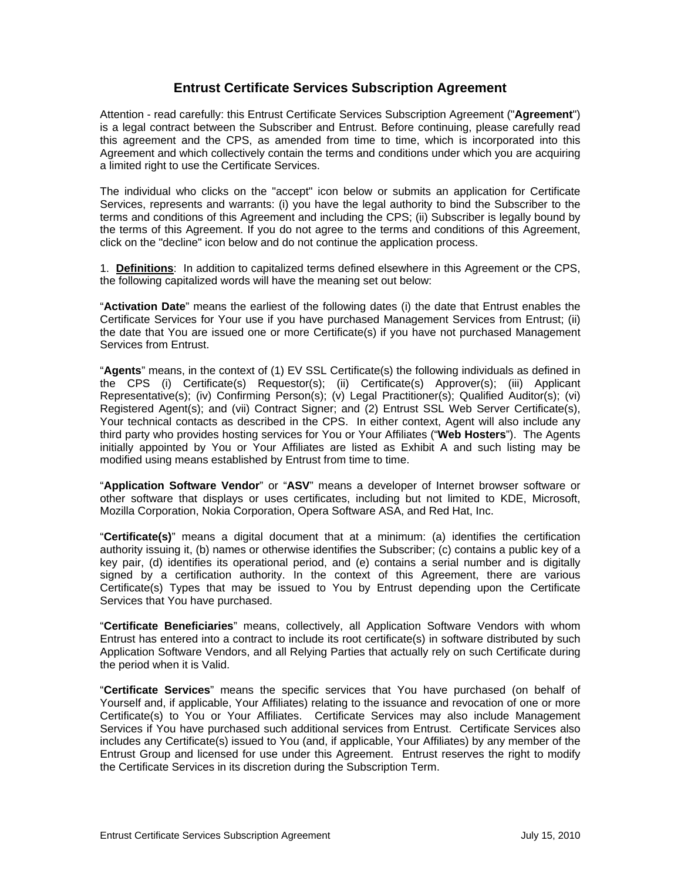# **Entrust Certificate Services Subscription Agreement**

Attention - read carefully: this Entrust Certificate Services Subscription Agreement ("**Agreement**") is a legal contract between the Subscriber and Entrust. Before continuing, please carefully read this agreement and the CPS, as amended from time to time, which is incorporated into this Agreement and which collectively contain the terms and conditions under which you are acquiring a limited right to use the Certificate Services.

The individual who clicks on the "accept" icon below or submits an application for Certificate Services, represents and warrants: (i) you have the legal authority to bind the Subscriber to the terms and conditions of this Agreement and including the CPS; (ii) Subscriber is legally bound by the terms of this Agreement. If you do not agree to the terms and conditions of this Agreement, click on the "decline" icon below and do not continue the application process.

1. **Definitions**: In addition to capitalized terms defined elsewhere in this Agreement or the CPS, the following capitalized words will have the meaning set out below:

"**Activation Date**" means the earliest of the following dates (i) the date that Entrust enables the Certificate Services for Your use if you have purchased Management Services from Entrust; (ii) the date that You are issued one or more Certificate(s) if you have not purchased Management Services from Entrust.

"**Agents**" means, in the context of (1) EV SSL Certificate(s) the following individuals as defined in the CPS (i) Certificate(s) Requestor(s); (ii) Certificate(s) Approver(s); (iii) Applicant Representative(s); (iv) Confirming Person(s); (v) Legal Practitioner(s); Qualified Auditor(s); (vi) Registered Agent(s); and (vii) Contract Signer; and (2) Entrust SSL Web Server Certificate(s), Your technical contacts as described in the CPS. In either context, Agent will also include any third party who provides hosting services for You or Your Affiliates ("**Web Hosters**"). The Agents initially appointed by You or Your Affiliates are listed as Exhibit A and such listing may be modified using means established by Entrust from time to time.

"**Application Software Vendor**" or "**ASV**" means a developer of Internet browser software or other software that displays or uses certificates, including but not limited to KDE, Microsoft, Mozilla Corporation, Nokia Corporation, Opera Software ASA, and Red Hat, Inc.

"**Certificate(s)**" means a digital document that at a minimum: (a) identifies the certification authority issuing it, (b) names or otherwise identifies the Subscriber; (c) contains a public key of a key pair, (d) identifies its operational period, and (e) contains a serial number and is digitally signed by a certification authority. In the context of this Agreement, there are various Certificate(s) Types that may be issued to You by Entrust depending upon the Certificate Services that You have purchased.

"**Certificate Beneficiaries**" means, collectively, all Application Software Vendors with whom Entrust has entered into a contract to include its root certificate(s) in software distributed by such Application Software Vendors, and all Relying Parties that actually rely on such Certificate during the period when it is Valid.

"**Certificate Services**" means the specific services that You have purchased (on behalf of Yourself and, if applicable, Your Affiliates) relating to the issuance and revocation of one or more Certificate(s) to You or Your Affiliates. Certificate Services may also include Management Services if You have purchased such additional services from Entrust. Certificate Services also includes any Certificate(s) issued to You (and, if applicable, Your Affiliates) by any member of the Entrust Group and licensed for use under this Agreement. Entrust reserves the right to modify the Certificate Services in its discretion during the Subscription Term.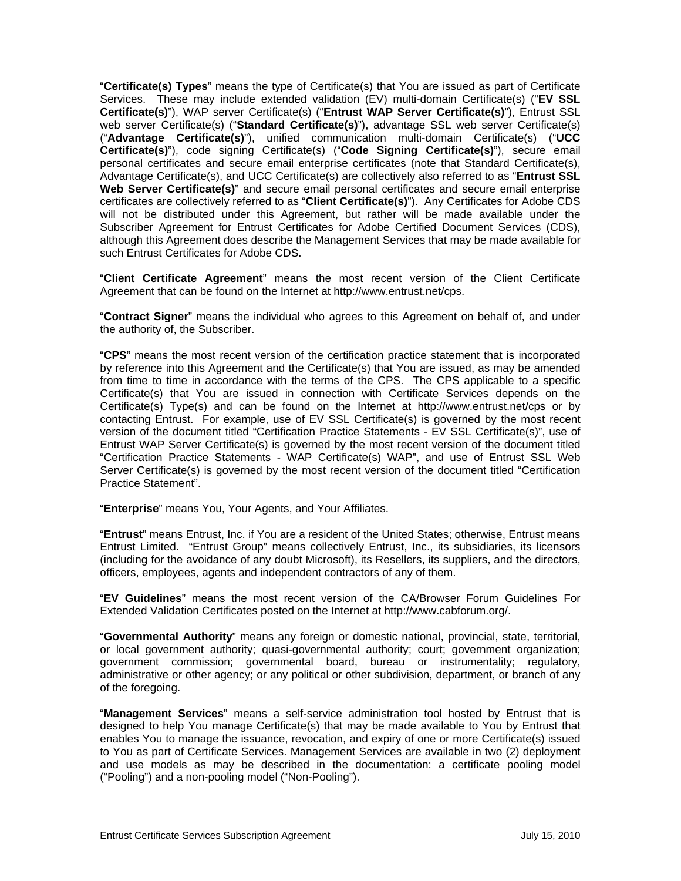"**Certificate(s) Types**" means the type of Certificate(s) that You are issued as part of Certificate Services. These may include extended validation (EV) multi-domain Certificate(s) ("**EV SSL Certificate(s)**"), WAP server Certificate(s) ("**Entrust WAP Server Certificate(s)**"), Entrust SSL web server Certificate(s) ("**Standard Certificate(s)**"), advantage SSL web server Certificate(s) ("**Advantage Certificate(s)**"), unified communication multi-domain Certificate(s) ("**UCC Certificate(s)**"), code signing Certificate(s) ("**Code Signing Certificate(s)**"), secure email personal certificates and secure email enterprise certificates (note that Standard Certificate(s), Advantage Certificate(s), and UCC Certificate(s) are collectively also referred to as "**Entrust SSL Web Server Certificate(s)**" and secure email personal certificates and secure email enterprise certificates are collectively referred to as "**Client Certificate(s)**"). Any Certificates for Adobe CDS will not be distributed under this Agreement, but rather will be made available under the Subscriber Agreement for Entrust Certificates for Adobe Certified Document Services (CDS), although this Agreement does describe the Management Services that may be made available for such Entrust Certificates for Adobe CDS.

"**Client Certificate Agreement**" means the most recent version of the Client Certificate Agreement that can be found on the Internet at http://www.entrust.net/cps.

"**Contract Signer**" means the individual who agrees to this Agreement on behalf of, and under the authority of, the Subscriber.

"**CPS**" means the most recent version of the certification practice statement that is incorporated by reference into this Agreement and the Certificate(s) that You are issued, as may be amended from time to time in accordance with the terms of the CPS. The CPS applicable to a specific Certificate(s) that You are issued in connection with Certificate Services depends on the Certificate(s) Type(s) and can be found on the Internet at http://www.entrust.net/cps or by contacting Entrust. For example, use of EV SSL Certificate(s) is governed by the most recent version of the document titled "Certification Practice Statements - EV SSL Certificate(s)", use of Entrust WAP Server Certificate(s) is governed by the most recent version of the document titled "Certification Practice Statements - WAP Certificate(s) WAP", and use of Entrust SSL Web Server Certificate(s) is governed by the most recent version of the document titled "Certification Practice Statement".

"**Enterprise**" means You, Your Agents, and Your Affiliates.

"**Entrust**" means Entrust, Inc. if You are a resident of the United States; otherwise, Entrust means Entrust Limited. "Entrust Group" means collectively Entrust, Inc., its subsidiaries, its licensors (including for the avoidance of any doubt Microsoft), its Resellers, its suppliers, and the directors, officers, employees, agents and independent contractors of any of them.

"**EV Guidelines**" means the most recent version of the CA/Browser Forum Guidelines For Extended Validation Certificates posted on the Internet at http://www.cabforum.org/.

"**Governmental Authority**" means any foreign or domestic national, provincial, state, territorial, or local government authority; quasi-governmental authority; court; government organization; government commission; governmental board, bureau or instrumentality; regulatory, administrative or other agency; or any political or other subdivision, department, or branch of any of the foregoing.

"**Management Services**" means a self-service administration tool hosted by Entrust that is designed to help You manage Certificate(s) that may be made available to You by Entrust that enables You to manage the issuance, revocation, and expiry of one or more Certificate(s) issued to You as part of Certificate Services. Management Services are available in two (2) deployment and use models as may be described in the documentation: a certificate pooling model ("Pooling") and a non-pooling model ("Non-Pooling").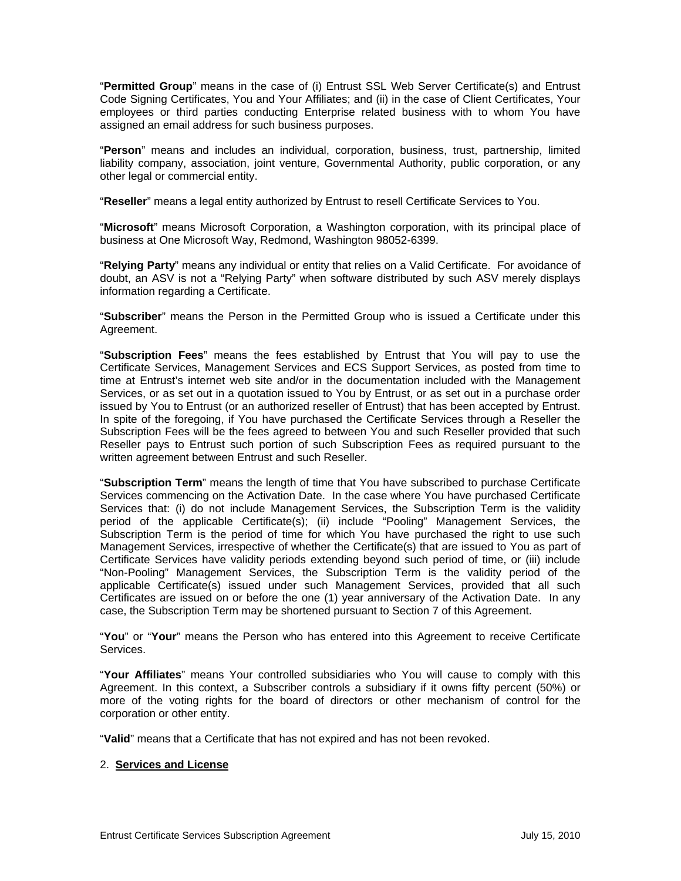"**Permitted Group**" means in the case of (i) Entrust SSL Web Server Certificate(s) and Entrust Code Signing Certificates, You and Your Affiliates; and (ii) in the case of Client Certificates, Your employees or third parties conducting Enterprise related business with to whom You have assigned an email address for such business purposes.

"**Person**" means and includes an individual, corporation, business, trust, partnership, limited liability company, association, joint venture, Governmental Authority, public corporation, or any other legal or commercial entity.

"**Reseller**" means a legal entity authorized by Entrust to resell Certificate Services to You.

"**Microsoft**" means Microsoft Corporation, a Washington corporation, with its principal place of business at One Microsoft Way, Redmond, Washington 98052-6399.

"**Relying Party**" means any individual or entity that relies on a Valid Certificate. For avoidance of doubt, an ASV is not a "Relying Party" when software distributed by such ASV merely displays information regarding a Certificate.

"**Subscriber**" means the Person in the Permitted Group who is issued a Certificate under this Agreement.

"**Subscription Fees**" means the fees established by Entrust that You will pay to use the Certificate Services, Management Services and ECS Support Services, as posted from time to time at Entrust's internet web site and/or in the documentation included with the Management Services, or as set out in a quotation issued to You by Entrust, or as set out in a purchase order issued by You to Entrust (or an authorized reseller of Entrust) that has been accepted by Entrust. In spite of the foregoing, if You have purchased the Certificate Services through a Reseller the Subscription Fees will be the fees agreed to between You and such Reseller provided that such Reseller pays to Entrust such portion of such Subscription Fees as required pursuant to the written agreement between Entrust and such Reseller.

"**Subscription Term**" means the length of time that You have subscribed to purchase Certificate Services commencing on the Activation Date. In the case where You have purchased Certificate Services that: (i) do not include Management Services, the Subscription Term is the validity period of the applicable Certificate(s); (ii) include "Pooling" Management Services, the Subscription Term is the period of time for which You have purchased the right to use such Management Services, irrespective of whether the Certificate(s) that are issued to You as part of Certificate Services have validity periods extending beyond such period of time, or (iii) include "Non-Pooling" Management Services, the Subscription Term is the validity period of the applicable Certificate(s) issued under such Management Services, provided that all such Certificates are issued on or before the one (1) year anniversary of the Activation Date. In any case, the Subscription Term may be shortened pursuant to Section 7 of this Agreement.

"**You**" or "**Your**" means the Person who has entered into this Agreement to receive Certificate Services.

"**Your Affiliates**" means Your controlled subsidiaries who You will cause to comply with this Agreement. In this context, a Subscriber controls a subsidiary if it owns fifty percent (50%) or more of the voting rights for the board of directors or other mechanism of control for the corporation or other entity.

"**Valid**" means that a Certificate that has not expired and has not been revoked.

### 2. **Services and License**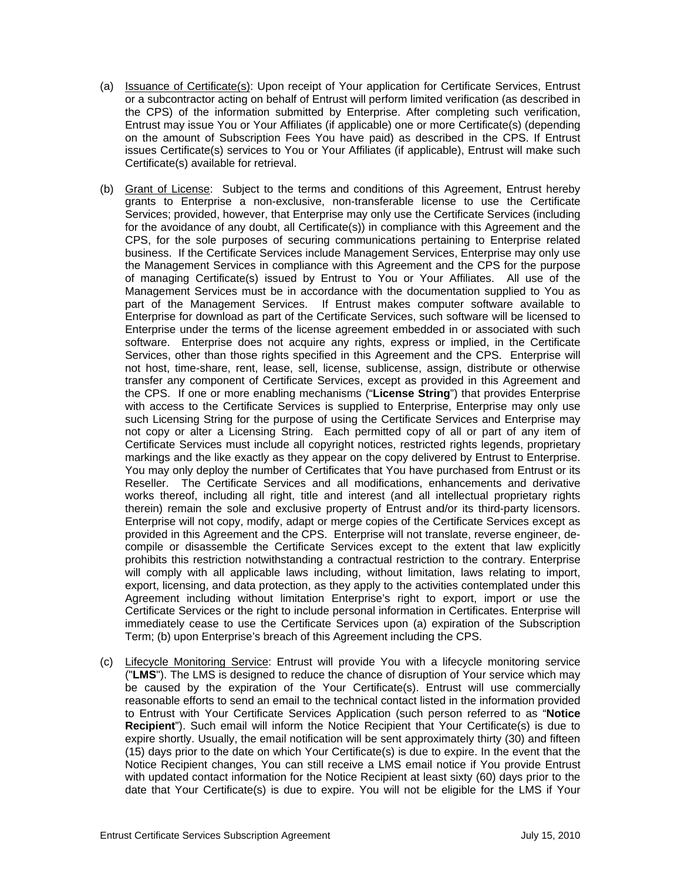- (a) Issuance of Certificate(s): Upon receipt of Your application for Certificate Services, Entrust or a subcontractor acting on behalf of Entrust will perform limited verification (as described in the CPS) of the information submitted by Enterprise. After completing such verification, Entrust may issue You or Your Affiliates (if applicable) one or more Certificate(s) (depending on the amount of Subscription Fees You have paid) as described in the CPS. If Entrust issues Certificate(s) services to You or Your Affiliates (if applicable), Entrust will make such Certificate(s) available for retrieval.
- (b) Grant of License: Subject to the terms and conditions of this Agreement, Entrust hereby grants to Enterprise a non-exclusive, non-transferable license to use the Certificate Services; provided, however, that Enterprise may only use the Certificate Services (including for the avoidance of any doubt, all Certificate(s)) in compliance with this Agreement and the CPS, for the sole purposes of securing communications pertaining to Enterprise related business. If the Certificate Services include Management Services, Enterprise may only use the Management Services in compliance with this Agreement and the CPS for the purpose of managing Certificate(s) issued by Entrust to You or Your Affiliates. All use of the Management Services must be in accordance with the documentation supplied to You as part of the Management Services. If Entrust makes computer software available to Enterprise for download as part of the Certificate Services, such software will be licensed to Enterprise under the terms of the license agreement embedded in or associated with such software. Enterprise does not acquire any rights, express or implied, in the Certificate Services, other than those rights specified in this Agreement and the CPS. Enterprise will not host, time-share, rent, lease, sell, license, sublicense, assign, distribute or otherwise transfer any component of Certificate Services, except as provided in this Agreement and the CPS. If one or more enabling mechanisms ("**License String**") that provides Enterprise with access to the Certificate Services is supplied to Enterprise, Enterprise may only use such Licensing String for the purpose of using the Certificate Services and Enterprise may not copy or alter a Licensing String. Each permitted copy of all or part of any item of Certificate Services must include all copyright notices, restricted rights legends, proprietary markings and the like exactly as they appear on the copy delivered by Entrust to Enterprise. You may only deploy the number of Certificates that You have purchased from Entrust or its Reseller. The Certificate Services and all modifications, enhancements and derivative works thereof, including all right, title and interest (and all intellectual proprietary rights therein) remain the sole and exclusive property of Entrust and/or its third-party licensors. Enterprise will not copy, modify, adapt or merge copies of the Certificate Services except as provided in this Agreement and the CPS. Enterprise will not translate, reverse engineer, decompile or disassemble the Certificate Services except to the extent that law explicitly prohibits this restriction notwithstanding a contractual restriction to the contrary. Enterprise will comply with all applicable laws including, without limitation, laws relating to import, export, licensing, and data protection, as they apply to the activities contemplated under this Agreement including without limitation Enterprise's right to export, import or use the Certificate Services or the right to include personal information in Certificates. Enterprise will immediately cease to use the Certificate Services upon (a) expiration of the Subscription Term; (b) upon Enterprise's breach of this Agreement including the CPS.
- (c) Lifecycle Monitoring Service: Entrust will provide You with a lifecycle monitoring service ("**LMS**"). The LMS is designed to reduce the chance of disruption of Your service which may be caused by the expiration of the Your Certificate(s). Entrust will use commercially reasonable efforts to send an email to the technical contact listed in the information provided to Entrust with Your Certificate Services Application (such person referred to as "**Notice Recipient**"). Such email will inform the Notice Recipient that Your Certificate(s) is due to expire shortly. Usually, the email notification will be sent approximately thirty (30) and fifteen (15) days prior to the date on which Your Certificate(s) is due to expire. In the event that the Notice Recipient changes, You can still receive a LMS email notice if You provide Entrust with updated contact information for the Notice Recipient at least sixty (60) days prior to the date that Your Certificate(s) is due to expire. You will not be eligible for the LMS if Your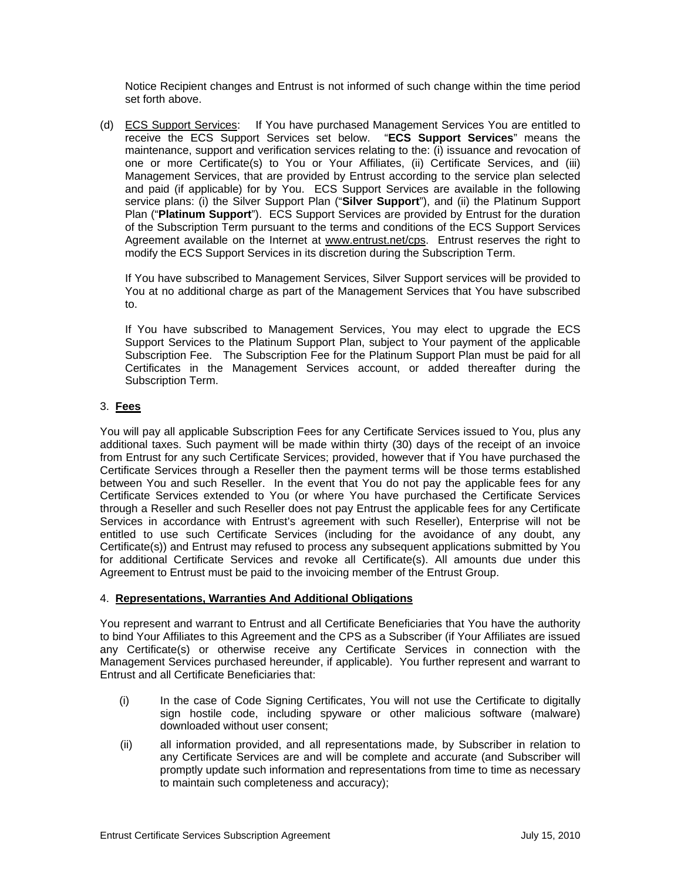Notice Recipient changes and Entrust is not informed of such change within the time period set forth above.

(d) ECS Support Services: If You have purchased Management Services You are entitled to receive the ECS Support Services set below. "**ECS Support Services**" means the maintenance, support and verification services relating to the: (i) issuance and revocation of one or more Certificate(s) to You or Your Affiliates, (ii) Certificate Services, and (iii) Management Services, that are provided by Entrust according to the service plan selected and paid (if applicable) for by You. ECS Support Services are available in the following service plans: (i) the Silver Support Plan ("**Silver Support**"), and (ii) the Platinum Support Plan ("**Platinum Support**"). ECS Support Services are provided by Entrust for the duration of the Subscription Term pursuant to the terms and conditions of the ECS Support Services Agreement available on the Internet at www.entrust.net/cps. Entrust reserves the right to modify the ECS Support Services in its discretion during the Subscription Term.

If You have subscribed to Management Services, Silver Support services will be provided to You at no additional charge as part of the Management Services that You have subscribed to.

If You have subscribed to Management Services, You may elect to upgrade the ECS Support Services to the Platinum Support Plan, subject to Your payment of the applicable Subscription Fee. The Subscription Fee for the Platinum Support Plan must be paid for all Certificates in the Management Services account, or added thereafter during the Subscription Term.

# 3. **Fees**

You will pay all applicable Subscription Fees for any Certificate Services issued to You, plus any additional taxes. Such payment will be made within thirty (30) days of the receipt of an invoice from Entrust for any such Certificate Services; provided, however that if You have purchased the Certificate Services through a Reseller then the payment terms will be those terms established between You and such Reseller. In the event that You do not pay the applicable fees for any Certificate Services extended to You (or where You have purchased the Certificate Services through a Reseller and such Reseller does not pay Entrust the applicable fees for any Certificate Services in accordance with Entrust's agreement with such Reseller), Enterprise will not be entitled to use such Certificate Services (including for the avoidance of any doubt, any Certificate(s)) and Entrust may refused to process any subsequent applications submitted by You for additional Certificate Services and revoke all Certificate(s). All amounts due under this Agreement to Entrust must be paid to the invoicing member of the Entrust Group.

## 4. **Representations, Warranties And Additional Obligations**

You represent and warrant to Entrust and all Certificate Beneficiaries that You have the authority to bind Your Affiliates to this Agreement and the CPS as a Subscriber (if Your Affiliates are issued any Certificate(s) or otherwise receive any Certificate Services in connection with the Management Services purchased hereunder, if applicable). You further represent and warrant to Entrust and all Certificate Beneficiaries that:

- (i) In the case of Code Signing Certificates, You will not use the Certificate to digitally sign hostile code, including spyware or other malicious software (malware) downloaded without user consent;
- (ii) all information provided, and all representations made, by Subscriber in relation to any Certificate Services are and will be complete and accurate (and Subscriber will promptly update such information and representations from time to time as necessary to maintain such completeness and accuracy);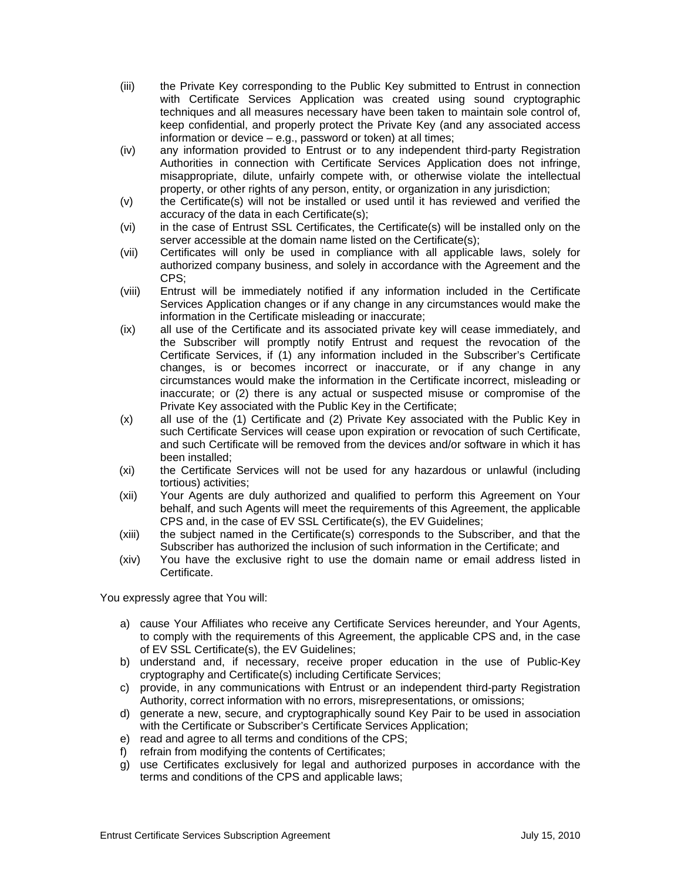- (iii) the Private Key corresponding to the Public Key submitted to Entrust in connection with Certificate Services Application was created using sound cryptographic techniques and all measures necessary have been taken to maintain sole control of, keep confidential, and properly protect the Private Key (and any associated access information or device – e.g., password or token) at all times;
- (iv) any information provided to Entrust or to any independent third-party Registration Authorities in connection with Certificate Services Application does not infringe, misappropriate, dilute, unfairly compete with, or otherwise violate the intellectual property, or other rights of any person, entity, or organization in any jurisdiction;
- (v) the Certificate(s) will not be installed or used until it has reviewed and verified the accuracy of the data in each Certificate(s);
- (vi) in the case of Entrust SSL Certificates, the Certificate(s) will be installed only on the server accessible at the domain name listed on the Certificate(s);
- (vii) Certificates will only be used in compliance with all applicable laws, solely for authorized company business, and solely in accordance with the Agreement and the CPS;
- (viii) Entrust will be immediately notified if any information included in the Certificate Services Application changes or if any change in any circumstances would make the information in the Certificate misleading or inaccurate;
- (ix) all use of the Certificate and its associated private key will cease immediately, and the Subscriber will promptly notify Entrust and request the revocation of the Certificate Services, if (1) any information included in the Subscriber's Certificate changes, is or becomes incorrect or inaccurate, or if any change in any circumstances would make the information in the Certificate incorrect, misleading or inaccurate; or (2) there is any actual or suspected misuse or compromise of the Private Key associated with the Public Key in the Certificate;
- (x) all use of the (1) Certificate and (2) Private Key associated with the Public Key in such Certificate Services will cease upon expiration or revocation of such Certificate, and such Certificate will be removed from the devices and/or software in which it has been installed;
- (xi) the Certificate Services will not be used for any hazardous or unlawful (including tortious) activities;
- (xii) Your Agents are duly authorized and qualified to perform this Agreement on Your behalf, and such Agents will meet the requirements of this Agreement, the applicable CPS and, in the case of EV SSL Certificate(s), the EV Guidelines;
- (xiii) the subject named in the Certificate(s) corresponds to the Subscriber, and that the Subscriber has authorized the inclusion of such information in the Certificate; and
- (xiv) You have the exclusive right to use the domain name or email address listed in Certificate.

You expressly agree that You will:

- a) cause Your Affiliates who receive any Certificate Services hereunder, and Your Agents, to comply with the requirements of this Agreement, the applicable CPS and, in the case of EV SSL Certificate(s), the EV Guidelines;
- b) understand and, if necessary, receive proper education in the use of Public-Key cryptography and Certificate(s) including Certificate Services;
- c) provide, in any communications with Entrust or an independent third-party Registration Authority, correct information with no errors, misrepresentations, or omissions;
- d) generate a new, secure, and cryptographically sound Key Pair to be used in association with the Certificate or Subscriber's Certificate Services Application;
- e) read and agree to all terms and conditions of the CPS;
- f) refrain from modifying the contents of Certificates;
- g) use Certificates exclusively for legal and authorized purposes in accordance with the terms and conditions of the CPS and applicable laws;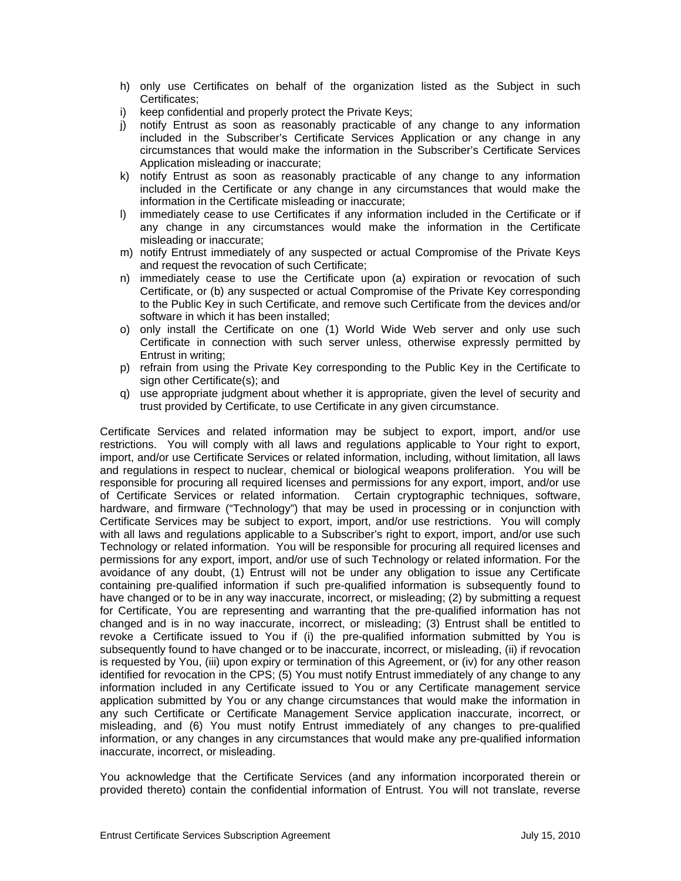- h) only use Certificates on behalf of the organization listed as the Subject in such Certificates;
- i) keep confidential and properly protect the Private Keys;
- j) notify Entrust as soon as reasonably practicable of any change to any information included in the Subscriber's Certificate Services Application or any change in any circumstances that would make the information in the Subscriber's Certificate Services Application misleading or inaccurate;
- k) notify Entrust as soon as reasonably practicable of any change to any information included in the Certificate or any change in any circumstances that would make the information in the Certificate misleading or inaccurate;
- l) immediately cease to use Certificates if any information included in the Certificate or if any change in any circumstances would make the information in the Certificate misleading or inaccurate;
- m) notify Entrust immediately of any suspected or actual Compromise of the Private Keys and request the revocation of such Certificate;
- n) immediately cease to use the Certificate upon (a) expiration or revocation of such Certificate, or (b) any suspected or actual Compromise of the Private Key corresponding to the Public Key in such Certificate, and remove such Certificate from the devices and/or software in which it has been installed;
- o) only install the Certificate on one (1) World Wide Web server and only use such Certificate in connection with such server unless, otherwise expressly permitted by Entrust in writing;
- p) refrain from using the Private Key corresponding to the Public Key in the Certificate to sign other Certificate(s); and
- q) use appropriate judgment about whether it is appropriate, given the level of security and trust provided by Certificate, to use Certificate in any given circumstance.

Certificate Services and related information may be subject to export, import, and/or use restrictions. You will comply with all laws and regulations applicable to Your right to export, import, and/or use Certificate Services or related information, including, without limitation, all laws and regulations in respect to nuclear, chemical or biological weapons proliferation. You will be responsible for procuring all required licenses and permissions for any export, import, and/or use of Certificate Services or related information. Certain cryptographic techniques, software, hardware, and firmware ("Technology") that may be used in processing or in conjunction with Certificate Services may be subject to export, import, and/or use restrictions. You will comply with all laws and regulations applicable to a Subscriber's right to export, import, and/or use such Technology or related information. You will be responsible for procuring all required licenses and permissions for any export, import, and/or use of such Technology or related information. For the avoidance of any doubt, (1) Entrust will not be under any obligation to issue any Certificate containing pre-qualified information if such pre-qualified information is subsequently found to have changed or to be in any way inaccurate, incorrect, or misleading; (2) by submitting a request for Certificate, You are representing and warranting that the pre-qualified information has not changed and is in no way inaccurate, incorrect, or misleading; (3) Entrust shall be entitled to revoke a Certificate issued to You if (i) the pre-qualified information submitted by You is subsequently found to have changed or to be inaccurate, incorrect, or misleading, (ii) if revocation is requested by You, (iii) upon expiry or termination of this Agreement, or (iv) for any other reason identified for revocation in the CPS; (5) You must notify Entrust immediately of any change to any information included in any Certificate issued to You or any Certificate management service application submitted by You or any change circumstances that would make the information in any such Certificate or Certificate Management Service application inaccurate, incorrect, or misleading, and (6) You must notify Entrust immediately of any changes to pre-qualified information, or any changes in any circumstances that would make any pre-qualified information inaccurate, incorrect, or misleading.

You acknowledge that the Certificate Services (and any information incorporated therein or provided thereto) contain the confidential information of Entrust. You will not translate, reverse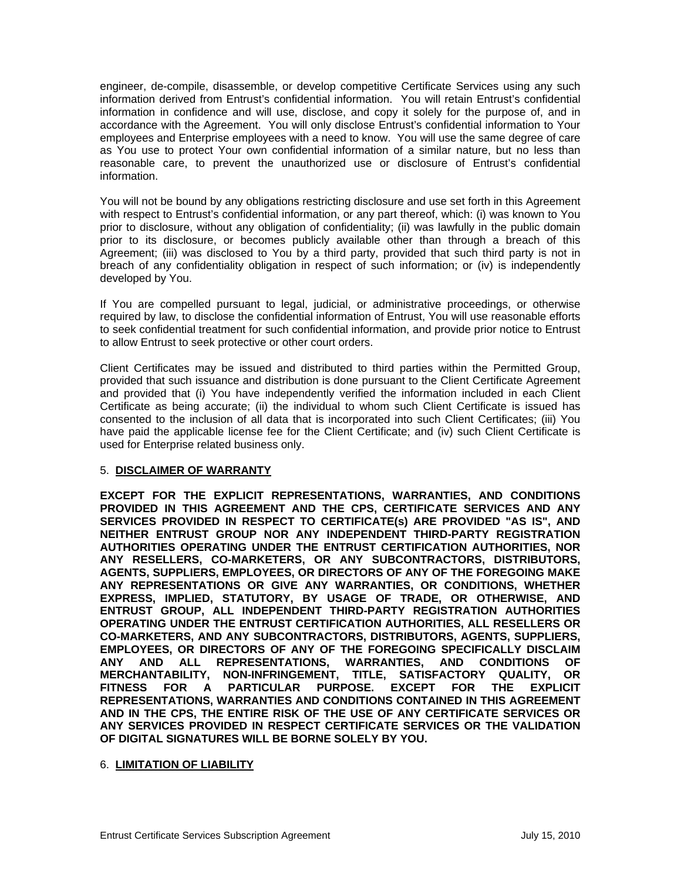engineer, de-compile, disassemble, or develop competitive Certificate Services using any such information derived from Entrust's confidential information. You will retain Entrust's confidential information in confidence and will use, disclose, and copy it solely for the purpose of, and in accordance with the Agreement. You will only disclose Entrust's confidential information to Your employees and Enterprise employees with a need to know. You will use the same degree of care as You use to protect Your own confidential information of a similar nature, but no less than reasonable care, to prevent the unauthorized use or disclosure of Entrust's confidential information.

You will not be bound by any obligations restricting disclosure and use set forth in this Agreement with respect to Entrust's confidential information, or any part thereof, which: (i) was known to You prior to disclosure, without any obligation of confidentiality; (ii) was lawfully in the public domain prior to its disclosure, or becomes publicly available other than through a breach of this Agreement; (iii) was disclosed to You by a third party, provided that such third party is not in breach of any confidentiality obligation in respect of such information; or (iv) is independently developed by You.

If You are compelled pursuant to legal, judicial, or administrative proceedings, or otherwise required by law, to disclose the confidential information of Entrust, You will use reasonable efforts to seek confidential treatment for such confidential information, and provide prior notice to Entrust to allow Entrust to seek protective or other court orders.

Client Certificates may be issued and distributed to third parties within the Permitted Group, provided that such issuance and distribution is done pursuant to the Client Certificate Agreement and provided that (i) You have independently verified the information included in each Client Certificate as being accurate; (ii) the individual to whom such Client Certificate is issued has consented to the inclusion of all data that is incorporated into such Client Certificates; (iii) You have paid the applicable license fee for the Client Certificate; and (iv) such Client Certificate is used for Enterprise related business only.

#### 5. **DISCLAIMER OF WARRANTY**

**EXCEPT FOR THE EXPLICIT REPRESENTATIONS, WARRANTIES, AND CONDITIONS PROVIDED IN THIS AGREEMENT AND THE CPS, CERTIFICATE SERVICES AND ANY SERVICES PROVIDED IN RESPECT TO CERTIFICATE(s) ARE PROVIDED "AS IS", AND NEITHER ENTRUST GROUP NOR ANY INDEPENDENT THIRD-PARTY REGISTRATION AUTHORITIES OPERATING UNDER THE ENTRUST CERTIFICATION AUTHORITIES, NOR ANY RESELLERS, CO-MARKETERS, OR ANY SUBCONTRACTORS, DISTRIBUTORS, AGENTS, SUPPLIERS, EMPLOYEES, OR DIRECTORS OF ANY OF THE FOREGOING MAKE ANY REPRESENTATIONS OR GIVE ANY WARRANTIES, OR CONDITIONS, WHETHER EXPRESS, IMPLIED, STATUTORY, BY USAGE OF TRADE, OR OTHERWISE, AND ENTRUST GROUP, ALL INDEPENDENT THIRD-PARTY REGISTRATION AUTHORITIES OPERATING UNDER THE ENTRUST CERTIFICATION AUTHORITIES, ALL RESELLERS OR CO-MARKETERS, AND ANY SUBCONTRACTORS, DISTRIBUTORS, AGENTS, SUPPLIERS, EMPLOYEES, OR DIRECTORS OF ANY OF THE FOREGOING SPECIFICALLY DISCLAIM ANY AND ALL REPRESENTATIONS, WARRANTIES, AND CONDITIONS OF MERCHANTABILITY, NON-INFRINGEMENT, TITLE, SATISFACTORY QUALITY, OR FITNESS FOR A PARTICULAR PURPOSE. EXCEPT FOR THE EXPLICIT REPRESENTATIONS, WARRANTIES AND CONDITIONS CONTAINED IN THIS AGREEMENT AND IN THE CPS, THE ENTIRE RISK OF THE USE OF ANY CERTIFICATE SERVICES OR ANY SERVICES PROVIDED IN RESPECT CERTIFICATE SERVICES OR THE VALIDATION OF DIGITAL SIGNATURES WILL BE BORNE SOLELY BY YOU.**

#### 6. **LIMITATION OF LIABILITY**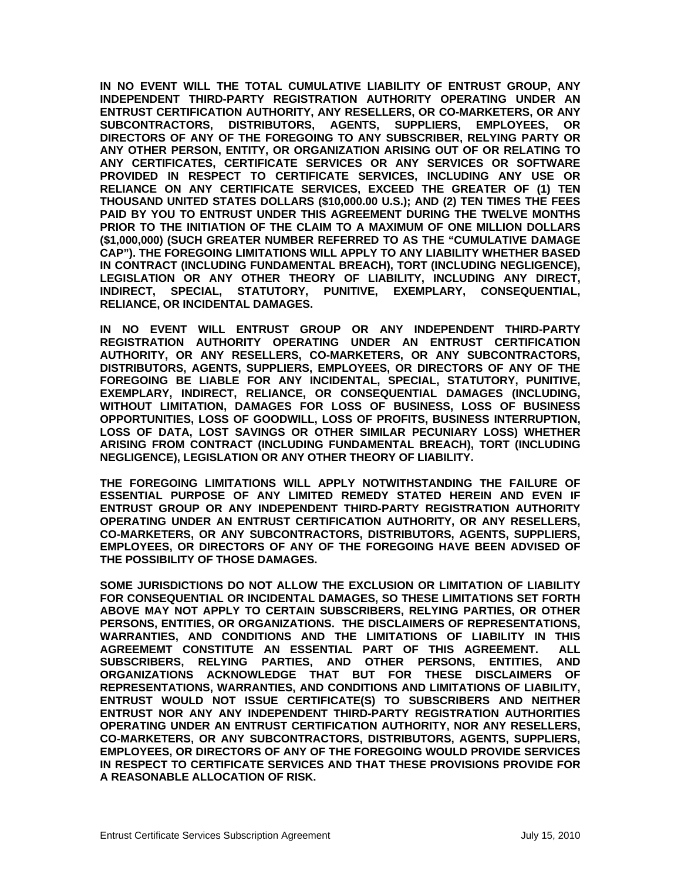**IN NO EVENT WILL THE TOTAL CUMULATIVE LIABILITY OF ENTRUST GROUP, ANY INDEPENDENT THIRD-PARTY REGISTRATION AUTHORITY OPERATING UNDER AN ENTRUST CERTIFICATION AUTHORITY, ANY RESELLERS, OR CO-MARKETERS, OR ANY SUBCONTRACTORS, DISTRIBUTORS, AGENTS, SUPPLIERS, EMPLOYEES, OR DIRECTORS OF ANY OF THE FOREGOING TO ANY SUBSCRIBER, RELYING PARTY OR ANY OTHER PERSON, ENTITY, OR ORGANIZATION ARISING OUT OF OR RELATING TO ANY CERTIFICATES, CERTIFICATE SERVICES OR ANY SERVICES OR SOFTWARE PROVIDED IN RESPECT TO CERTIFICATE SERVICES, INCLUDING ANY USE OR RELIANCE ON ANY CERTIFICATE SERVICES, EXCEED THE GREATER OF (1) TEN THOUSAND UNITED STATES DOLLARS (\$10,000.00 U.S.); AND (2) TEN TIMES THE FEES PAID BY YOU TO ENTRUST UNDER THIS AGREEMENT DURING THE TWELVE MONTHS PRIOR TO THE INITIATION OF THE CLAIM TO A MAXIMUM OF ONE MILLION DOLLARS (\$1,000,000) (SUCH GREATER NUMBER REFERRED TO AS THE "CUMULATIVE DAMAGE CAP"). THE FOREGOING LIMITATIONS WILL APPLY TO ANY LIABILITY WHETHER BASED IN CONTRACT (INCLUDING FUNDAMENTAL BREACH), TORT (INCLUDING NEGLIGENCE), LEGISLATION OR ANY OTHER THEORY OF LIABILITY, INCLUDING ANY DIRECT, INDIRECT, SPECIAL, STATUTORY, PUNITIVE, EXEMPLARY, CONSEQUENTIAL, RELIANCE, OR INCIDENTAL DAMAGES.** 

**IN NO EVENT WILL ENTRUST GROUP OR ANY INDEPENDENT THIRD-PARTY REGISTRATION AUTHORITY OPERATING UNDER AN ENTRUST CERTIFICATION AUTHORITY, OR ANY RESELLERS, CO-MARKETERS, OR ANY SUBCONTRACTORS, DISTRIBUTORS, AGENTS, SUPPLIERS, EMPLOYEES, OR DIRECTORS OF ANY OF THE FOREGOING BE LIABLE FOR ANY INCIDENTAL, SPECIAL, STATUTORY, PUNITIVE, EXEMPLARY, INDIRECT, RELIANCE, OR CONSEQUENTIAL DAMAGES (INCLUDING, WITHOUT LIMITATION, DAMAGES FOR LOSS OF BUSINESS, LOSS OF BUSINESS OPPORTUNITIES, LOSS OF GOODWILL, LOSS OF PROFITS, BUSINESS INTERRUPTION, LOSS OF DATA, LOST SAVINGS OR OTHER SIMILAR PECUNIARY LOSS) WHETHER ARISING FROM CONTRACT (INCLUDING FUNDAMENTAL BREACH), TORT (INCLUDING NEGLIGENCE), LEGISLATION OR ANY OTHER THEORY OF LIABILITY.** 

**THE FOREGOING LIMITATIONS WILL APPLY NOTWITHSTANDING THE FAILURE OF ESSENTIAL PURPOSE OF ANY LIMITED REMEDY STATED HEREIN AND EVEN IF ENTRUST GROUP OR ANY INDEPENDENT THIRD-PARTY REGISTRATION AUTHORITY OPERATING UNDER AN ENTRUST CERTIFICATION AUTHORITY, OR ANY RESELLERS, CO-MARKETERS, OR ANY SUBCONTRACTORS, DISTRIBUTORS, AGENTS, SUPPLIERS, EMPLOYEES, OR DIRECTORS OF ANY OF THE FOREGOING HAVE BEEN ADVISED OF THE POSSIBILITY OF THOSE DAMAGES.** 

**SOME JURISDICTIONS DO NOT ALLOW THE EXCLUSION OR LIMITATION OF LIABILITY FOR CONSEQUENTIAL OR INCIDENTAL DAMAGES, SO THESE LIMITATIONS SET FORTH ABOVE MAY NOT APPLY TO CERTAIN SUBSCRIBERS, RELYING PARTIES, OR OTHER PERSONS, ENTITIES, OR ORGANIZATIONS. THE DISCLAIMERS OF REPRESENTATIONS, WARRANTIES, AND CONDITIONS AND THE LIMITATIONS OF LIABILITY IN THIS AGREEMEMT CONSTITUTE AN ESSENTIAL PART OF THIS AGREEMENT. ALL SUBSCRIBERS, RELYING PARTIES, AND OTHER PERSONS, ENTITIES, AND ORGANIZATIONS ACKNOWLEDGE THAT BUT FOR THESE DISCLAIMERS OF REPRESENTATIONS, WARRANTIES, AND CONDITIONS AND LIMITATIONS OF LIABILITY, ENTRUST WOULD NOT ISSUE CERTIFICATE(S) TO SUBSCRIBERS AND NEITHER ENTRUST NOR ANY ANY INDEPENDENT THIRD-PARTY REGISTRATION AUTHORITIES OPERATING UNDER AN ENTRUST CERTIFICATION AUTHORITY, NOR ANY RESELLERS, CO-MARKETERS, OR ANY SUBCONTRACTORS, DISTRIBUTORS, AGENTS, SUPPLIERS, EMPLOYEES, OR DIRECTORS OF ANY OF THE FOREGOING WOULD PROVIDE SERVICES IN RESPECT TO CERTIFICATE SERVICES AND THAT THESE PROVISIONS PROVIDE FOR A REASONABLE ALLOCATION OF RISK.**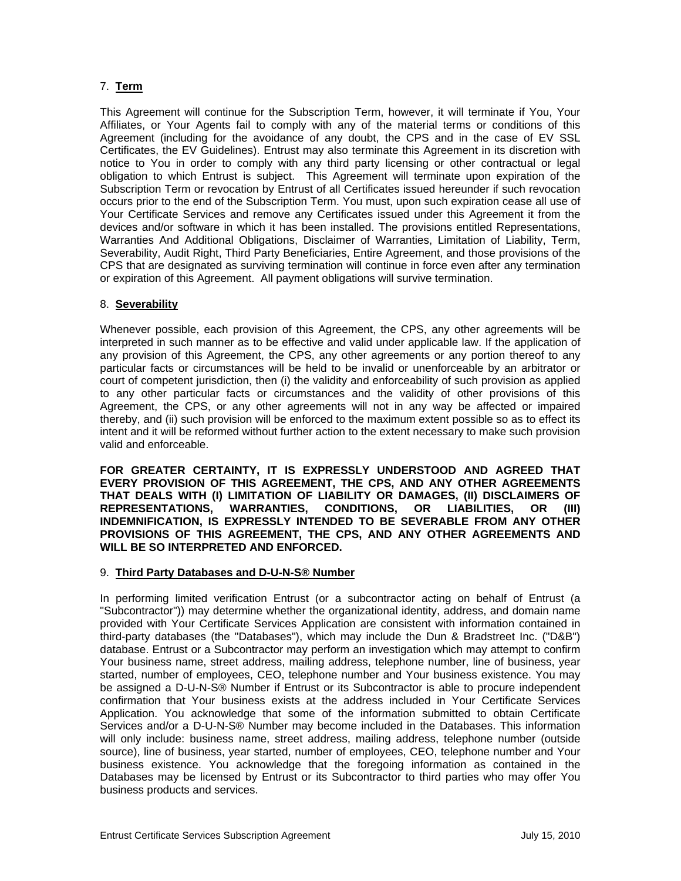# 7. **Term**

This Agreement will continue for the Subscription Term, however, it will terminate if You, Your Affiliates, or Your Agents fail to comply with any of the material terms or conditions of this Agreement (including for the avoidance of any doubt, the CPS and in the case of EV SSL Certificates, the EV Guidelines). Entrust may also terminate this Agreement in its discretion with notice to You in order to comply with any third party licensing or other contractual or legal obligation to which Entrust is subject. This Agreement will terminate upon expiration of the Subscription Term or revocation by Entrust of all Certificates issued hereunder if such revocation occurs prior to the end of the Subscription Term. You must, upon such expiration cease all use of Your Certificate Services and remove any Certificates issued under this Agreement it from the devices and/or software in which it has been installed. The provisions entitled Representations, Warranties And Additional Obligations, Disclaimer of Warranties, Limitation of Liability, Term, Severability, Audit Right, Third Party Beneficiaries, Entire Agreement, and those provisions of the CPS that are designated as surviving termination will continue in force even after any termination or expiration of this Agreement. All payment obligations will survive termination.

### 8. **Severability**

Whenever possible, each provision of this Agreement, the CPS, any other agreements will be interpreted in such manner as to be effective and valid under applicable law. If the application of any provision of this Agreement, the CPS, any other agreements or any portion thereof to any particular facts or circumstances will be held to be invalid or unenforceable by an arbitrator or court of competent jurisdiction, then (i) the validity and enforceability of such provision as applied to any other particular facts or circumstances and the validity of other provisions of this Agreement, the CPS, or any other agreements will not in any way be affected or impaired thereby, and (ii) such provision will be enforced to the maximum extent possible so as to effect its intent and it will be reformed without further action to the extent necessary to make such provision valid and enforceable.

**FOR GREATER CERTAINTY, IT IS EXPRESSLY UNDERSTOOD AND AGREED THAT EVERY PROVISION OF THIS AGREEMENT, THE CPS, AND ANY OTHER AGREEMENTS THAT DEALS WITH (I) LIMITATION OF LIABILITY OR DAMAGES, (II) DISCLAIMERS OF REPRESENTATIONS, WARRANTIES, CONDITIONS, OR LIABILITIES, OR (III) INDEMNIFICATION, IS EXPRESSLY INTENDED TO BE SEVERABLE FROM ANY OTHER PROVISIONS OF THIS AGREEMENT, THE CPS, AND ANY OTHER AGREEMENTS AND WILL BE SO INTERPRETED AND ENFORCED.** 

#### 9. **Third Party Databases and D-U-N-S® Number**

In performing limited verification Entrust (or a subcontractor acting on behalf of Entrust (a "Subcontractor")) may determine whether the organizational identity, address, and domain name provided with Your Certificate Services Application are consistent with information contained in third-party databases (the "Databases"), which may include the Dun & Bradstreet Inc. ("D&B") database. Entrust or a Subcontractor may perform an investigation which may attempt to confirm Your business name, street address, mailing address, telephone number, line of business, year started, number of employees, CEO, telephone number and Your business existence. You may be assigned a D-U-N-S® Number if Entrust or its Subcontractor is able to procure independent confirmation that Your business exists at the address included in Your Certificate Services Application. You acknowledge that some of the information submitted to obtain Certificate Services and/or a D-U-N-S® Number may become included in the Databases. This information will only include: business name, street address, mailing address, telephone number (outside source), line of business, year started, number of employees, CEO, telephone number and Your business existence. You acknowledge that the foregoing information as contained in the Databases may be licensed by Entrust or its Subcontractor to third parties who may offer You business products and services.